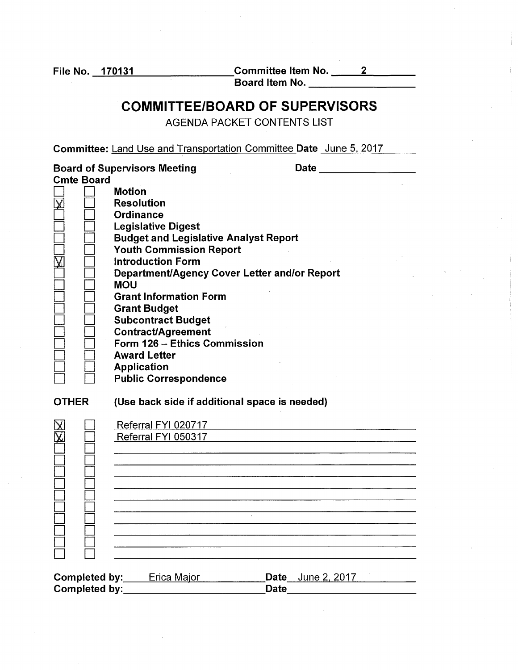$\square$  $\Box$   $\Box$ D D  $\Box$   $\Box$  $\Box$   $\Box$ D D

File No. 170131 Committee Item No. 2 ---=---- Bo a rd Item No.--------

### COMMITTEE/BOARD OF SUPERVISORS

AGENDA PACKET CONTENTS LIST

Committee: Land Use and Transportation Committee Date June 5. 2017

|              |                   | <b>Board of Supervisors Meeting</b><br><b>Date</b> |  |
|--------------|-------------------|----------------------------------------------------|--|
|              | <b>Cmte Board</b> |                                                    |  |
|              |                   | <b>Motion</b>                                      |  |
|              |                   | <b>Resolution</b>                                  |  |
|              |                   | Ordinance                                          |  |
|              |                   | <b>Legislative Digest</b>                          |  |
|              |                   | <b>Budget and Legislative Analyst Report</b>       |  |
|              |                   | <b>Youth Commission Report</b>                     |  |
|              |                   | <b>Introduction Form</b>                           |  |
|              |                   | Department/Agency Cover Letter and/or Report       |  |
|              |                   | <b>MOU</b>                                         |  |
|              |                   | <b>Grant Information Form</b>                      |  |
|              |                   |                                                    |  |
|              |                   | <b>Grant Budget</b>                                |  |
|              |                   | <b>Subcontract Budget</b>                          |  |
|              |                   | <b>Contract/Agreement</b>                          |  |
|              |                   | Form 126 - Ethics Commission                       |  |
|              |                   | <b>Award Letter</b>                                |  |
|              |                   | <b>Application</b>                                 |  |
|              |                   | <b>Public Correspondence</b>                       |  |
| <b>OTHER</b> |                   | (Use back side if additional space is needed)      |  |
|              |                   | Referral FYI 020717                                |  |
|              |                   | Referral FYI 050317                                |  |
|              |                   |                                                    |  |
|              |                   |                                                    |  |
|              |                   |                                                    |  |
|              |                   |                                                    |  |
|              |                   |                                                    |  |

| Completed by: | Erica Major | <b>Date</b> June 2, 2017 |  |
|---------------|-------------|--------------------------|--|
| Completed by: |             | Date                     |  |

<u> 1980 - Jan Sterling von Berling von Berling von Berling von Berling von Berling von Berling von Berling von B</u>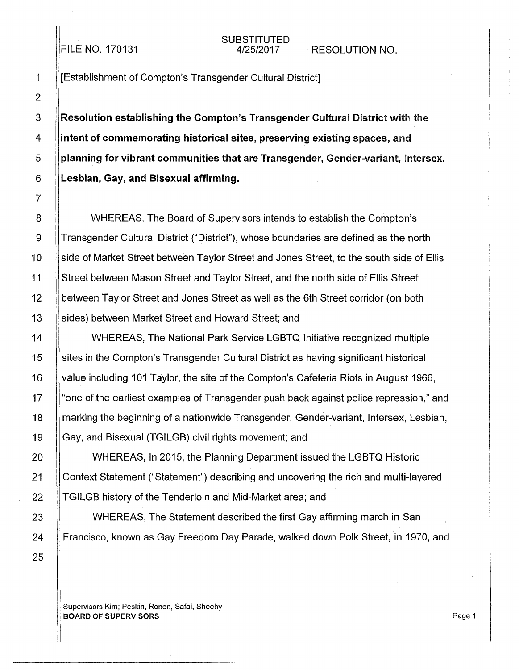#### FILE NO. 170131

# SUBSTITUTED<br>4/25/2017

2 7 25

1 **I**I [Establishment of Compton's Transgender Cultural District]

3 Resolution establishing the Compton's Transgender Cultural District with the 4 intent of commemorating historical sites, preserving existing spaces, and  $5$  ||planning for vibrant communities that are Transgender, Gender-variant, Intersex,  $6$  ||Lesbian, Gay, and Bisexual affirming.

8 WHEREAS, The Board of Supervisors intends *to* establish the Compton's 9 **Transgender Cultural District ("District")**, whose boundaries are defined as the north 10 side of Market Street between Taylor Street and Jones Street, *to* the south side of Ellis 11 Street between Mason Street and Taylor Street, and the north side of Ellis Street 12 **between Taylor Street and Jones Street as well as the 6th Street corridor (on both** 13 Sides) between Market Street and Howard Street; and

14 WHEREAS, The National Park Service LGBTQ Initiative recognized multiple 15 sites in the Compton's Transgender Cultural District as having significant historical 16 value including 101 Taylor, the site of the Compton's Cafeteria Riots in August 1966, 17 || "one of the earliest examples of Transgender push back against police repression," and 18 **Marking the beginning of a nationwide Transgender, Gender-variant, Intersex, Lesbian,** 19 Gay, and Bisexual (TGILGB) civil rights movement; and

20 WHEREAS, In 2015, the Planning Department issued the LGBTQ Historic 21 Context Statement ("Statement") describing and uncovering the rich and multi-layered 22 **TGILGB** history of the Tenderloin and Mid-Market area; and

23 | WHEREAS, The Statement described the first Gay affirming march in San 24 |Francisco, known as Gay Freedom Day Parade, walked down Polk Street, in 1970, and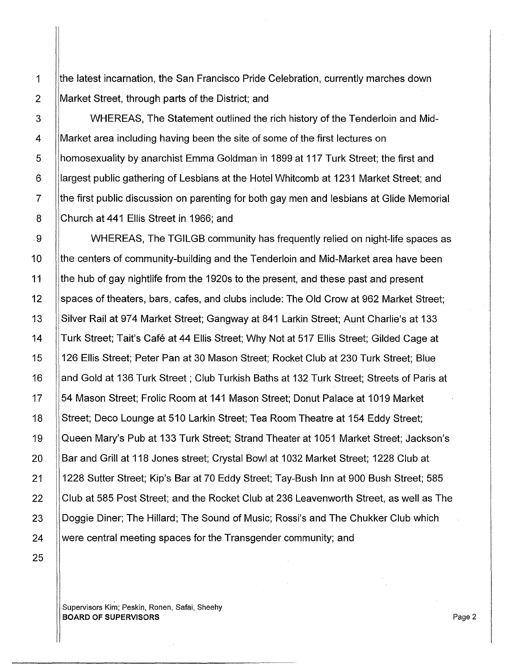1 | the latest incarnation, the San Francisco Pride Celebration, currently marches down 2 Market Street, through parts of the District; and

25

3 WHEREAS, The Statement outlined the rich history of the Tenderloin and Mid-4 Market area including having been the site of some of the first lectures on 5 homosexuality by anarchist Emma Goldman in 1899 at 117 Turk Street; the first and 6 **liargest public gathering of Lesbians at the Hotel Whitcomb at 1231 Market Street; and** 7 H the first public discussion on parenting for both gay men and lesbians at Glide Memorial 8 Church at 441 Ellis Street in 1966; and

. 9 WHEREAS, The TGILGB community has frequently relied on night-life spaces as 10 (the centers of community-building and the Tenderloin and Mid-Market area have been 11 | the hub of gay nightlife from the 1920s to the present, and these past and present 12 Spaces of theaters, bars, cafes, and clubs include: The Old Crow at 962 Market Street; 13 Silver Rail at 974 Market Street; Gangway at 841 Larkin Street; Aunt Charlie's at 133 14 ||Turk Street; Tait's Café at 44 Ellis Street; Why Not at 517 Ellis Street; Gilded Cage at 15 126 Ellis Street; Peter Pan at 30 Mason Street; Rocket Club at 230 Turk Street; Blue 16 | and Gold at 136 Turk Street; Club Turkish Baths at 132 Turk Street; Streets of Paris at 17 | 54 Mason Street; Frolic Room at 141 Mason Street; Donut Palace at 1019 Market 18 Street; Deco Lounge at 510 Larkin Street; Tea Room Theatre at 154 Eddy Street; 19 Queen Mary's Pub at 133 Turk Street; Strand Theater at 1051 Market Street; Jackson's 20 Bar and Grill at 118 Jones street; Crystal Bowl at 1032 Market Street; 1228 Club at 21 1228 Sutter Street; Kip's Bar at 70 Eddy Street; Tay-Bush Inn at 900 Bush Street; 585 22 Club at 585 Post Street; and the Rocket Club at 236 Leavenworth Street, as well as The 23  $\parallel$  Doggie Diner; The Hillard; The Sound of Music; Rossi's and The Chukker Club which  $24$  Were central meeting spaces for the Transgender community; and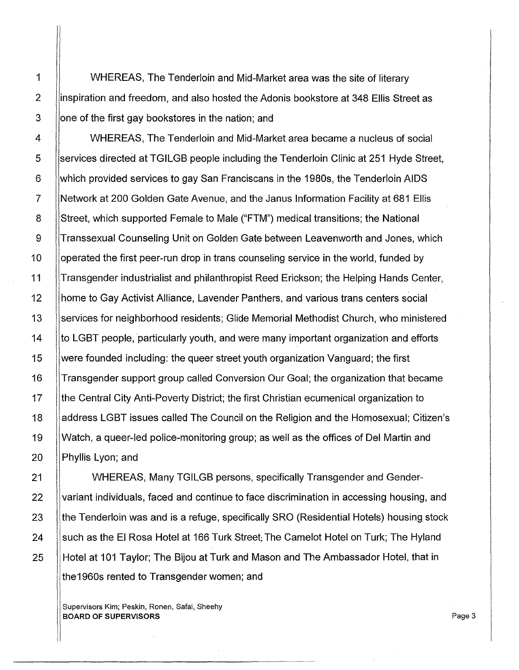1 WHEREAS, The Tenderloin and Mid-Market area was the site of literary 2 inspiration and freedom, and also hosted the Adonis bookstore at 348 Ellis Street as 3 **or Separn is a set one of the first gay bookstores in the nation; and** 

4  $\parallel$  WHEREAS. The Tenderloin and Mid-Market area became a nucleus of social 5 Services directed at TGILGB people including the Tenderloin Clinic at 251 Hyde Street, 6 which provided services to gay San Franciscans in the 1980s, the Tenderloin AIDS 7 Network at 200 Golden Gate Avenue, and the Janus Information Facility at 681 Ellis 8 Street, which supported Female to Male ("FTM") medical transitions; the National 9 Transsexual Counseling Unit on Golden Gate between Leavenworth and Jones, which 10 | | operated the first peer-run drop in trans counseling service in the world, funded by 11 **Transgender industrialist and philanthropist Reed Erickson; the Helping Hands Center,** 12 home to Gay Activist Alliance, Lavender Panthers, and various trans centers social 13 Services for neighborhood residents; Glide Memorial Methodist Church, who ministered 14 **the LGBT people, particularly youth, and were many important organization and efforts** 15 were founded including: the queer street youth organization Vanguard; the first 16 Transgender support group called Conversion Our Goal; the organization that became 17 | the Central City Anti-Poverty District; the first Christian ecumenical organization to 18 **Address LGBT issues called The Council on the Religion and the Homosexual; Citizen's** 19 Watch, a queer-led police-monitoring group; as well as the offices of Del Martin and 20 || Phyllis Lyon; and

21 | WHEREAS, Many TGILGB persons, specifically Transgender and Gender-22 Variant individuals, faced and continue to face discrimination in accessing housing, and 23 Ithe Tenderloin was and is a refuge, specifically SRO (Residential Hotels) housing stock 24  $\parallel$  such as the El Rosa Hotel at 166 Turk Street; The Camelot Hotel on Turk; The Hyland 25 Hotel at 101 Taylor: The Bijou at Turk and Mason and The Ambassador Hotel, that in the1960s rented to Transgender women; and

Supervisors Kim; Peskin, Ronen, Safai, Sheehy BOARD OF SUPERVISORS AND RESOLUTION OF SUPERVISORS AND RESOLUTION OF SUPERVISORS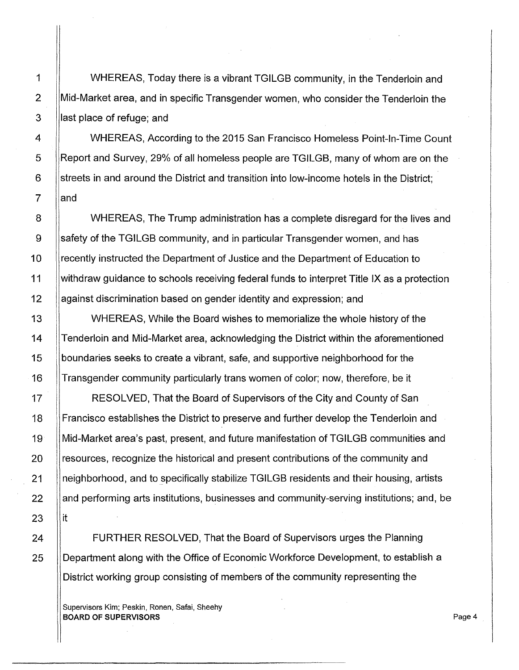1 WHEREAS, Today there is a vibrant TGILGB community, in the Tenderloin and 2 Mid-Market area, and in specific Transgender women, who consider the Tenderloin the  $3$  ||last place of refuge; and

4 | WHEREAS, According to the 2015 San Francisco Homeless Point-In-Time Count 5 ||Report and Survey, 29% of all homeless people are TGILGB, many of whom are on the  $6$  ||streets in and around the District and transition into low-income hotels in the District;  $7$   $\parallel$  and

8 | WHEREAS, The Trump administration has a complete disregard for the lives and 9 Safety of the TGILGB community, and in particular Transgender women, and has 10 Ilrecently instructed the Department of Justice and the Department of Education to 11 withdraw guidance to schools receiving federal funds to interpret Title IX as a protection 12 ||against discrimination based on gender identity and expression; and

**WHEREAS, While the Board wishes to memorialize the whole history of the Tenderloin and Mid-Market area, acknowledging the District within the aforementioned** 15 boundaries seeks to create a vibrant, safe, and supportive neighborhood for the Transgender community particularly trans women of color; now, therefore, be it

17 | RESOLVED, That the Board of Supervisors of the City and County of San 18 Francisco establishes the District to preserve and further develop the Tenderloin and 19 Mid-Market area's past, present, and future manifestation of TGILGB communities and 20 **resources, recognize the historical and present contributions of the community and** 21 neighborhood, and to specifically stabilize TGILGB residents and their housing, artists 22 and performing arts institutions, businesses and community-serving institutions; and, be

24 **FURTHER RESOLVED, That the Board of Supervisors urges the Planning** 25 Department along with the Office of Economic Workforce Development, to establish a District working group consisting of members of the community representing the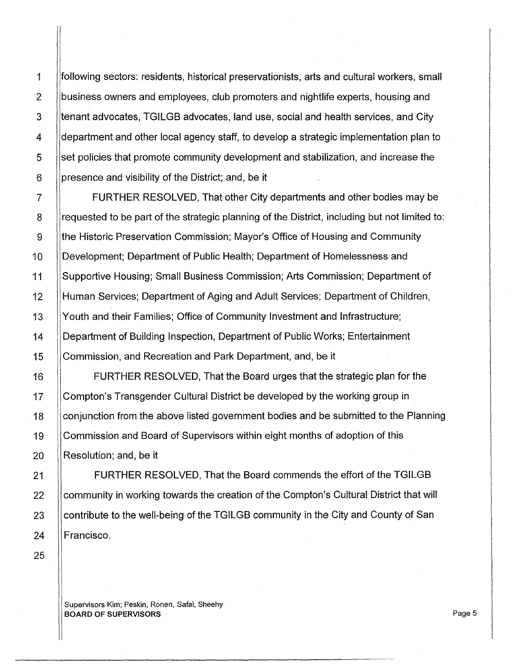1 following sectors: residents, historical preservationists, arts and cultural workers, small 2 business owners and employees, club promoters and nightlife experts, housing and 3 Iltenant advocates, TGILGB advocates, land use, social and health services, and City 4 **department and other local agency staff**, to develop a strategic implementation plan to 5 set policies that promote community development and stabilization, and increase the 6 | presence and visibility of the District; and, be it

7 **FURTHER RESOLVED, That other City departments and other bodies may be** 8 let all requested to be part of the strategic planning of the District, including but not limited to: 9 ||the Historic Preservation Commission; Mayor's Office of Housing and Community 10 ||Development; Department of Public Health; Department of Homelessness and 11 Supportive Housing; Small Business Commission; Arts Commission; Department of 12 Human Services; Department of Aging and Adult Services; Department of Children, 13 Youth and their Families; Office of Community Investment and Infrastructure; 14 Department of Building Inspection, Department of Public Works; Entertainment 15 Commission, and Recreation and Park Department, and, be it

16 FURTHER RESOLVED, That the Board urges that the strategic plan for the 17 Compton's Transgender Cultural District be developed by the working group in 18 Conjunction from the above listed government bodies and be submitted to the Planning 19 Commission and Board of Supervisors within eight months of adoption of this 20 **Resolution**; and, be it

21 **FURTHER RESOLVED, That the Board commends the effort of the TGILGB** 22 Community in working towards the creation of the Compton's Cultural District that will 23  $\parallel$  contribute to the well-being of the TGILGB community in the City and County of San 24 | Francisco.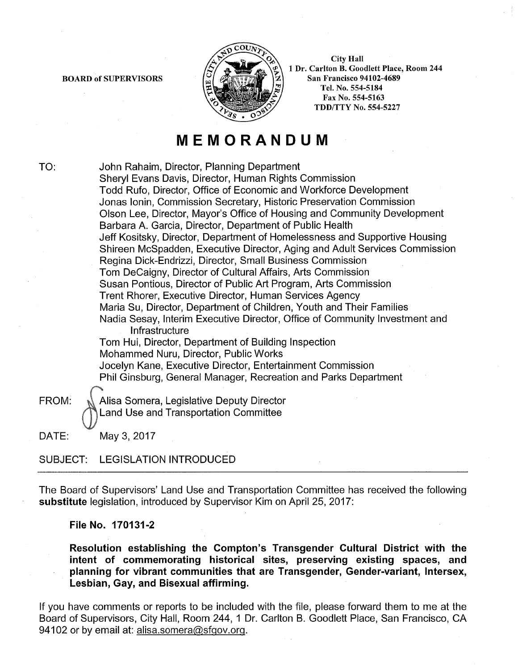BOARD of SUPERVISORS



City Hall 1 Dr. Carlton B. Goodlett Place, Room 244 San Francisco 94102-4689 Tel. No. 554-5184 Fax No. 554-5163 TDD/TTY No. 554-5227

### **MEMORANDUM**

TO: John Rahaim, Director, Planning Department Sheryl Evans Davis, Director, Human Rights Commission Todd Rufo, Director, Office of Economic and Workforce Development Jonas lonin, Commission Secretary, Historic Preservation Commission Olson Lee, Director, Mayor's Office of Housing and Community Development Barbara A. Garcia, Director, Department of Public Health Jeff Kositsky, Director, Department of Homelessness and Supportive Housing Shireen Mcspadden, Executive Director, Aging and Adult Services Commission Regina Dick-Endrizzi, Director, Small Business Commission Tom DeCaigny, Director of Cultural Affairs, Arts Commission Susan Pontious, Director of Public Art Program, Arts Commission Trent Rhorer, Executive Director, Human Services Agency Maria Su, Director, Department of Children, Youth and Their Families Nadia Sesay, Interim Executive Director, Office of Community Investment and Infrastructure Tom Hui, Director, Department of Building Inspection Mohammed Nuru, Director, Public Works Jocelyn Kane, Executive Director, Entertainment Commission Phil Ginsburg, General Manager, Recreation and Parks Department FROM: N Alisa Somera, Legislative Deputy Director Land Use and Transportation Committee

DATE: May 3, 2017

#### SUBJECT: LEGISLATION INTRODUCED

The Board of Supervisors' Land Use and Transportation Committee has received the following **substitute** legislation, introduced by Supervisor Kim on April 25, 2017:

#### **File No. 170131-2**

**Resolution establishing the Compton's Transgender Cultural District with the intent of commemorating historical sites, preserving existing spaces, and planning for vibrant communities that are Transgender, Gender-variant, lntersex, Lesbian, Gay, and Bisexual affirming.** 

If you have comments or reports to be included with the file, please forward them to me at the Board of Supervisors, City Hall, Room 244, 1 Dr. Carlton B. Goodlett Place, San Francisco, CA 94102 or by email at: alisa.somera@sfgov.org.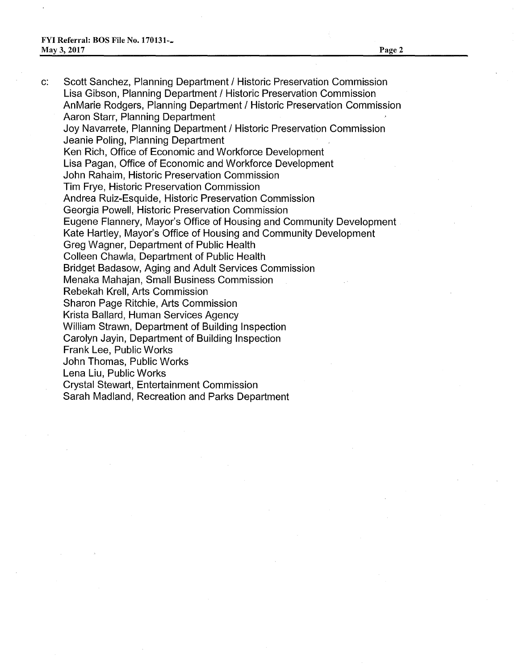c: Scott Sanchez, Planning Department I Historic Preservation Commission Lisa Gibson, Planning Department / Historic Preservation Commission AnMarie Rodgers, Planning Department / Historic Preservation Commission Aaron Starr, Planning Department Joy Navarrete, Planning Department / Historic Preservation Commission Jeanie Poling, Planning Department Ken Rich, Office of Economic and Workforce Development Lisa Pagan, Office of Economic and Workforce Development John Rahaim, Historic Preservation Commission Tim Frye, Historic Preservation Commission Andrea Ruiz-Esquide, Historic Preservation Commission Georgia Powell, Historic Preservation Commission Eugene Flannery, Mayor's Office of Housing and Community Development Kate Hartley, Mayor's Office of Housing and Community Development Greg Wagner, Department of Public Health Colleen Chawla, Department of Public Health Bridget Badasow, Aging and Adult Services Commission Menaka Mahajan, Small Business Commission Rebekah Krell, Arts Commission Sharon Page Ritchie, Arts Commission Krista Ballard, Human Services Agency William Strawn, Department of Building Inspection Carolyn Jayin, Department of Building Inspection Frank Lee, Public Works John Thomas, Public Works Lena Liu, Public Works Crystal Stewart, Entertainment Commission Sarah Madland, Recreation and Parks Department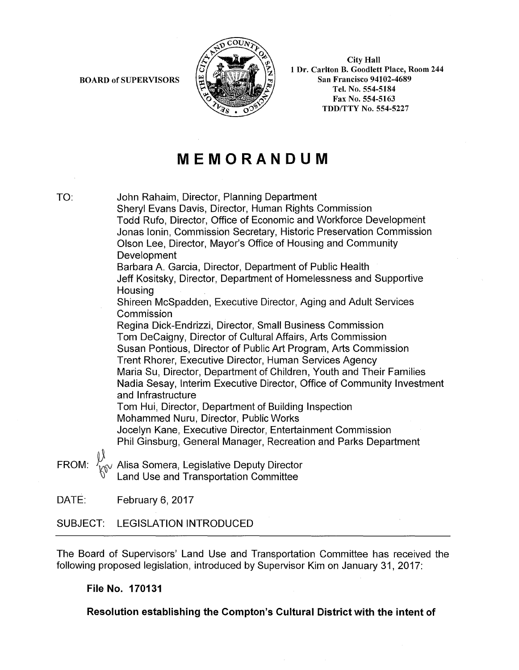BOARD of SUPERVISORS



City Hall 1 Dr. Carlton B. Goodlett Place, Room 244 San Francisco 94102-4689 Tel. No. 554-5184 Fax No. 554-5163 TDD/TTY No. 554-5227

## **MEMORANDUM**

TO: John Rahaim, Director, Planning Department Sheryl Evans Davis, Director, Human Rights Commission Todd Rufo, Director, Office of Economic and Workforce Development Jonas lonin, Commission Secretary, Historic Preservation Commission Olson Lee, Director, Mayor's Office of Housing and Community Development Barbara A. Garcia, Director, Department of Public Health Jeff Kositsky, Director, Department of Homelessness and Supportive **Housing** Shireen Mcspadden, Executive Director, Aging and Adult Services Commission Regina Dick-Endrizzi, Director, Small Business Commission Tom DeCaigny, Director of Cultural Affairs, Arts Commission Susan Pontious, Director of Public Art Program, Arts Commission Trent Rhorer, Executive Director, Human Services Agency Maria Su, Director, Department of Children, Youth and Their Families Nadia Sesay, Interim Executive Director, Office of Community Investment and Infrastructure Tom Hui, Director, Department of Building Inspection Mohammed Nuru, Director, Public Works Jocelyn Kane, Executive Director, Entertainment Commission Phil Ginsburg, General Manager, Recreation and Parks Department

FROM:  $\sqrt{\frac{V}{W}}$  Alisa Somera, Legislative Deputy Director Land Use and Transportation Committee

DATE: February 6, 2017

#### SUBJECT: LEGISLATION INTRODUCED

The Board of Supervisors' Land Use and Transportation Committee has received the following proposed legislation, introduced by Supervisor Kim on January 31, 2017:

#### **File No. 170131**

**Resolution establishing the Compton's Cultural District with the intent of**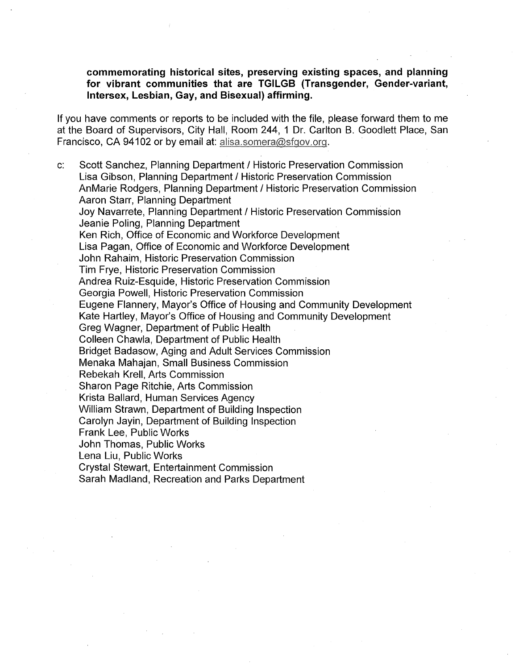**commemorating historical sites, preserving existing spaces, and planning for vibrant communities that are TGILGB (Transgender, Gender-variant, lntersex, Lesbian, Gay, and Bisexual) affirming.** 

If you have comments or reports to be included with the file, please forward them to me at the Board of Supervisors, City Hall, Room 244, 1 Dr. Carlton B. Goodlett Place, San Francisco, CA 94102 or by email at: alisa.somera@sfgov.org.

c: Scott Sanchez, Planning Department I Historic Preservation Commission Lisa Gibson, Planning Department I Historic Preservation Commission AnMarie Rodgers, Planning Department / Historic Preservation Commission Aaron Starr, Planning Department Joy Navarrete, Planning Department / Historic Preservation Commission Jeanie Poling, Planning Department Ken Rich, Office of Economic and Workforce Development Lisa Pagan, Office of Economic and Workforce Development John Rahaim, Historic Preservation Commission Tim Frye, Historic Preservation Commission Andrea Ruiz-Esquide, Historic Preservation Commission Georgia Powell, Historic Preservation Commission Eugene Flannery, Mayor's Office of Housing and Community Development Kate Hartley, Mayor's Office of Housing and Community Development Greg Wagner, Department of Public Health Colleen Chawla, Department of Public Health Bridget Badasow, Aging and Adult Services Commission Menaka Mahajan, Small Business Commission Rebekah Krell, Arts Commission Sharon Page Ritchie, Arts Commission Krista Ballard, Human Services Agency William Strawn, Department of Building Inspection Carolyn Jayin, Department of Building Inspection Frank Lee, Public Works John Thomas, Public Works Lena Liu, Public Works Crystal Stewart, Entertainment Commission Sarah Madland, Recreation and Parks Department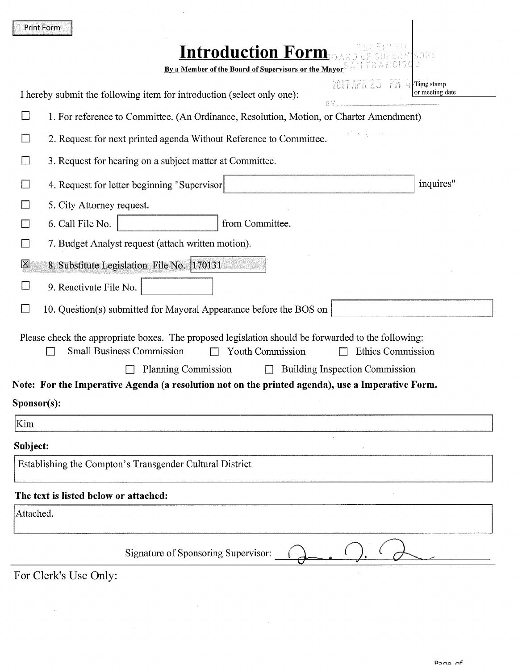| <b>Print Form</b>                                                                                  |                                                                   |
|----------------------------------------------------------------------------------------------------|-------------------------------------------------------------------|
| <b>Introduction Form</b><br>By a Member of the Board of Supervisors or the Mayor <sup>S</sup>      | 5025                                                              |
| I hereby submit the following item for introduction (select only one):                             | 2017 APR 25 - PM 1<br>$\rightarrow$ Time stamp<br>or meeting date |
| $\Box$                                                                                             | <b>BY</b>                                                         |
| 1. For reference to Committee. (An Ordinance, Resolution, Motion, or Charter Amendment)            |                                                                   |
| 2. Request for next printed agenda Without Reference to Committee.<br>L.                           |                                                                   |
| 3. Request for hearing on a subject matter at Committee.                                           |                                                                   |
| 4. Request for letter beginning "Supervisor"                                                       | inquires"                                                         |
| 5. City Attorney request.                                                                          |                                                                   |
| 6. Call File No.<br>from Committee.                                                                |                                                                   |
| 7. Budget Analyst request (attach written motion).                                                 |                                                                   |
| ⊠<br>8. Substitute Legislation File No. 170131                                                     |                                                                   |
| 9. Reactivate File No.                                                                             |                                                                   |
| 10. Question(s) submitted for Mayoral Appearance before the BOS on<br>$\mathcal{L}$                |                                                                   |
| Please check the appropriate boxes. The proposed legislation should be forwarded to the following: |                                                                   |
| <b>Small Business Commission</b><br>Youth Commission                                               | Ethics Commission                                                 |
| <b>Planning Commission</b><br>$\Box$                                                               | <b>Building Inspection Commission</b>                             |
| Note: For the Imperative Agenda (a resolution not on the printed agenda), use a Imperative Form.   |                                                                   |
| Sponsor(s):                                                                                        |                                                                   |
| Kim                                                                                                |                                                                   |
| Subject:                                                                                           |                                                                   |
| Establishing the Compton's Transgender Cultural District                                           |                                                                   |
| The text is listed below or attached:                                                              |                                                                   |
| Attached.                                                                                          |                                                                   |
| Signature of Sponsoring Supervisor:                                                                |                                                                   |
| For Clerk's Use Only                                                                               |                                                                   |

 $\mathcal{L}^{\pm}$ 

 $\sim$ 

For Clerk's Use Only:

 $\sim 10^{-1}$